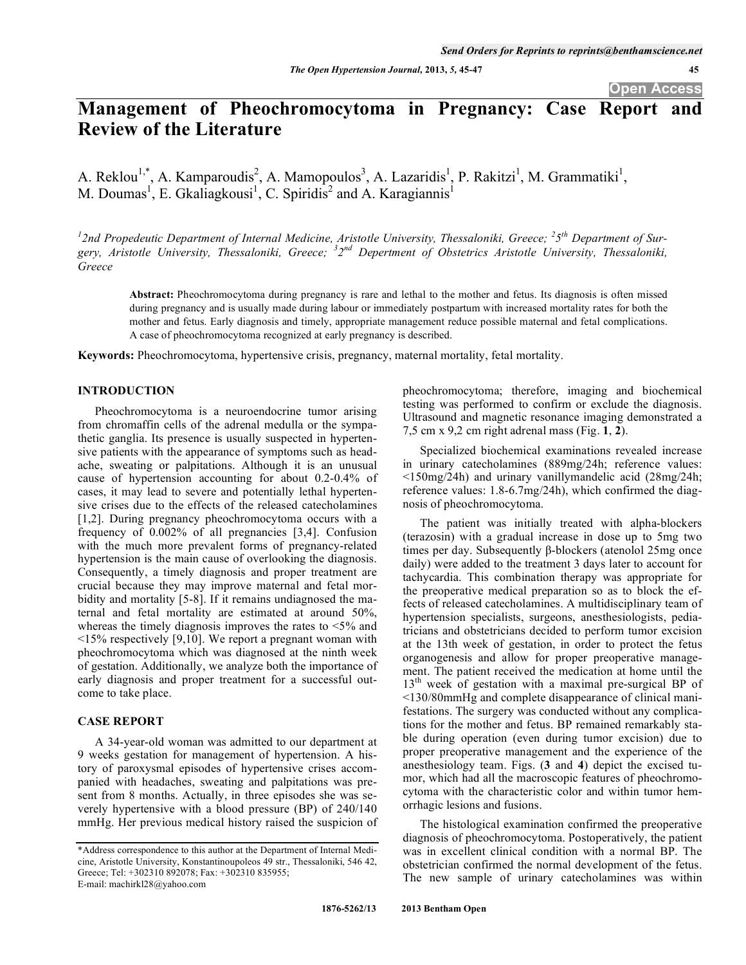# **Management of Pheochromocytoma in Pregnancy: Case Report and Review of the Literature**

A. Reklou<sup>1,\*</sup>, A. Kamparoudis<sup>2</sup>, A. Mamopoulos<sup>3</sup>, A. Lazaridis<sup>1</sup>, P. Rakitzi<sup>1</sup>, M. Grammatiki<sup>1</sup>, M. Doumas<sup>1</sup>, E. Gkaliagkousi<sup>1</sup>, C. Spiridis<sup>2</sup> and A. Karagiannis<sup>1</sup>

<sup>1</sup> 2nd Propedeutic Department of Internal Medicine, Aristotle University, Thessaloniki, Greece; <sup>2</sup>5<sup>th</sup> Department of Sur*gery, Aristotle University, Thessaloniki, Greece; <sup>3</sup> 2nd Depertment of Obstetrics Aristotle University, Thessaloniki, Greece* 

**Abstract:** Pheochromocytoma during pregnancy is rare and lethal to the mother and fetus. Its diagnosis is often missed during pregnancy and is usually made during labour or immediately postpartum with increased mortality rates for both the mother and fetus. Early diagnosis and timely, appropriate management reduce possible maternal and fetal complications. A case of pheochromocytoma recognized at early pregnancy is described.

**Keywords:** Pheochromocytoma, hypertensive crisis, pregnancy, maternal mortality, fetal mortality.

## **INTRODUCTION**

Pheochromocytoma is a neuroendocrine tumor arising from chromaffin cells of the adrenal medulla or the sympathetic ganglia. Its presence is usually suspected in hypertensive patients with the appearance of symptoms such as headache, sweating or palpitations. Although it is an unusual cause of hypertension accounting for about 0.2-0.4% of cases, it may lead to severe and potentially lethal hypertensive crises due to the effects of the released catecholamines [1,2]. During pregnancy pheochromocytoma occurs with a frequency of 0.002% of all pregnancies [3,4]. Confusion with the much more prevalent forms of pregnancy-related hypertension is the main cause of overlooking the diagnosis. Consequently, a timely diagnosis and proper treatment are crucial because they may improve maternal and fetal morbidity and mortality [5-8]. If it remains undiagnosed the maternal and fetal mortality are estimated at around 50%, whereas the timely diagnosis improves the rates to <5% and  $\leq$ 15% respectively [9,10]. We report a pregnant woman with pheochromocytoma which was diagnosed at the ninth week of gestation. Additionally, we analyze both the importance of early diagnosis and proper treatment for a successful outcome to take place.

### **CASE REPORT**

A 34-year-old woman was admitted to our department at 9 weeks gestation for management of hypertension. A history of paroxysmal episodes of hypertensive crises accompanied with headaches, sweating and palpitations was present from 8 months. Actually, in three episodes she was severely hypertensive with a blood pressure (BP) of 240/140 mmHg. Her previous medical history raised the suspicion of pheochromocytoma; therefore, imaging and biochemical testing was performed to confirm or exclude the diagnosis. Ultrasound and magnetic resonance imaging demonstrated a 7,5 cm x 9,2 cm right adrenal mass (Fig. **1**, **2**).

Specialized biochemical examinations revealed increase in urinary catecholamines (889mg/24h; reference values: <150mg/24h) and urinary vanillymandelic acid (28mg/24h; reference values: 1.8-6.7mg/24h), which confirmed the diagnosis of pheochromocytoma.

The patient was initially treated with alpha-blockers (terazosin) with a gradual increase in dose up to 5mg two times per day. Subsequently  $\beta$ -blockers (atenolol 25mg once daily) were added to the treatment 3 days later to account for tachycardia. This combination therapy was appropriate for the preoperative medical preparation so as to block the effects of released catecholamines. A multidisciplinary team of hypertension specialists, surgeons, anesthesiologists, pediatricians and obstetricians decided to perform tumor excision at the 13th week of gestation, in order to protect the fetus organogenesis and allow for proper preoperative management. The patient received the medication at home until the  $13<sup>th</sup>$  week of gestation with a maximal pre-surgical BP of <130/80mmHg and complete disappearance of clinical manifestations. The surgery was conducted without any complications for the mother and fetus. BP remained remarkably stable during operation (even during tumor excision) due to proper preoperative management and the experience of the anesthesiology team. Figs. (**3** and **4**) depict the excised tumor, which had all the macroscopic features of pheochromocytoma with the characteristic color and within tumor hemorrhagic lesions and fusions.

The histological examination confirmed the preoperative diagnosis of pheochromocytoma. Postoperatively, the patient was in excellent clinical condition with a normal BP. The obstetrician confirmed the normal development of the fetus. The new sample of urinary catecholamines was within

<sup>\*</sup>Address correspondence to this author at the Department of Internal Medicine, Aristotle University, Konstantinoupoleos 49 str., Thessaloniki, 546 42, Greece; Tel: +302310 892078; Fax: +302310 835955; E-mail: machirkl28@yahoo.com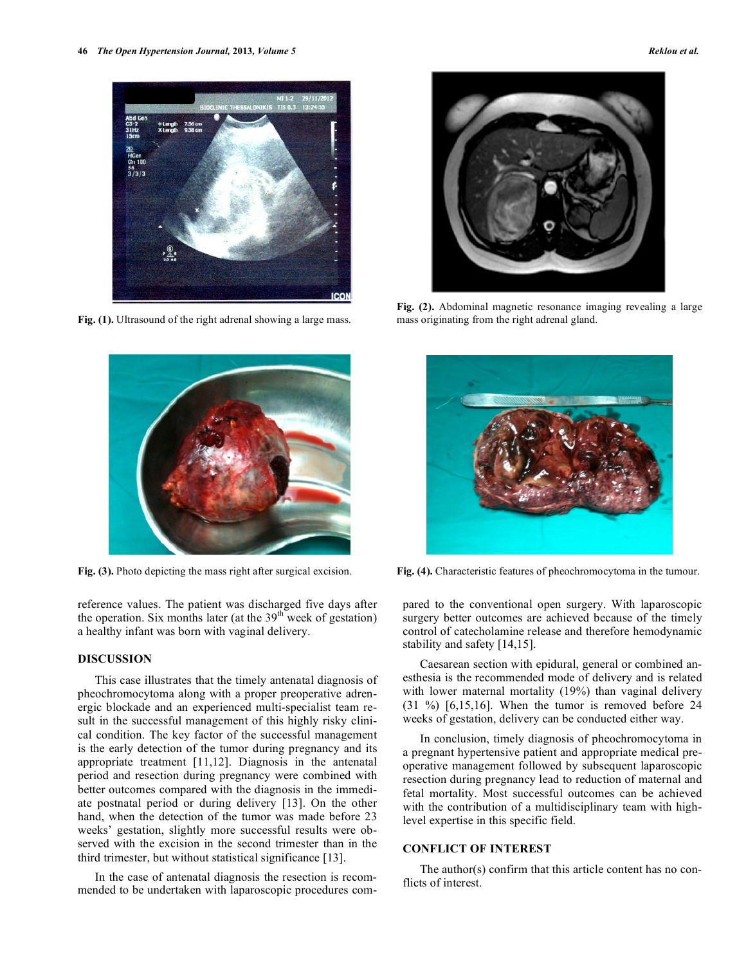

**Fig. (1).** Ultrasound of the right adrenal showing a large mass.



reference values. The patient was discharged five days after the operation. Six months later (at the  $39<sup>th</sup>$  week of gestation) a healthy infant was born with vaginal delivery.

### **DISCUSSION**

This case illustrates that the timely antenatal diagnosis of pheochromocytoma along with a proper preoperative adrenergic blockade and an experienced multi-specialist team result in the successful management of this highly risky clinical condition. The key factor of the successful management is the early detection of the tumor during pregnancy and its appropriate treatment [11,12]. Diagnosis in the antenatal period and resection during pregnancy were combined with better outcomes compared with the diagnosis in the immediate postnatal period or during delivery [13]. On the other hand, when the detection of the tumor was made before 23 weeks' gestation, slightly more successful results were observed with the excision in the second trimester than in the third trimester, but without statistical significance [13].

In the case of antenatal diagnosis the resection is recommended to be undertaken with laparoscopic procedures com-



**Fig. (2).** Abdominal magnetic resonance imaging revealing a large mass originating from the right adrenal gland.



**Fig. (3).** Photo depicting the mass right after surgical excision. **Fig. (4).** Characteristic features of pheochromocytoma in the tumour.

pared to the conventional open surgery. With laparoscopic surgery better outcomes are achieved because of the timely control of catecholamine release and therefore hemodynamic stability and safety [14,15].

Caesarean section with epidural, general or combined anesthesia is the recommended mode of delivery and is related with lower maternal mortality (19%) than vaginal delivery  $(31 \%)$   $[6,15,16]$ . When the tumor is removed before 24 weeks of gestation, delivery can be conducted either way.

In conclusion, timely diagnosis of pheochromocytoma in a pregnant hypertensive patient and appropriate medical preoperative management followed by subsequent laparoscopic resection during pregnancy lead to reduction of maternal and fetal mortality. Most successful outcomes can be achieved with the contribution of a multidisciplinary team with highlevel expertise in this specific field.

## **CONFLICT OF INTEREST**

The author(s) confirm that this article content has no conflicts of interest.